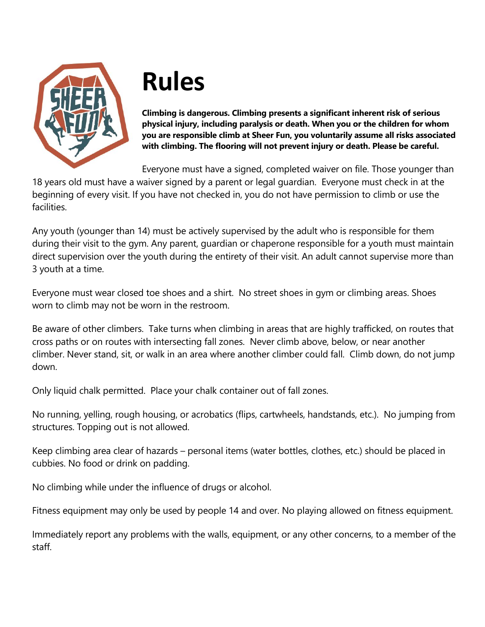

## **Rules**

**Climbing is dangerous. Climbing presents a significant inherent risk of serious physical injury, including paralysis or death. When you or the children for whom you are responsible climb at Sheer Fun, you voluntarily assume all risks associated with climbing. The flooring will not prevent injury or death. Please be careful.** 

Everyone must have a signed, completed waiver on file. Those younger than

18 years old must have a waiver signed by a parent or legal guardian. Everyone must check in at the beginning of every visit. If you have not checked in, you do not have permission to climb or use the facilities.

Any youth (younger than 14) must be actively supervised by the adult who is responsible for them during their visit to the gym. Any parent, guardian or chaperone responsible for a youth must maintain direct supervision over the youth during the entirety of their visit. An adult cannot supervise more than 3 youth at a time.

Everyone must wear closed toe shoes and a shirt. No street shoes in gym or climbing areas. Shoes worn to climb may not be worn in the restroom.

Be aware of other climbers. Take turns when climbing in areas that are highly trafficked, on routes that cross paths or on routes with intersecting fall zones. Never climb above, below, or near another climber. Never stand, sit, or walk in an area where another climber could fall. Climb down, do not jump down.

Only liquid chalk permitted. Place your chalk container out of fall zones.

No running, yelling, rough housing, or acrobatics (flips, cartwheels, handstands, etc.). No jumping from structures. Topping out is not allowed.

Keep climbing area clear of hazards – personal items (water bottles, clothes, etc.) should be placed in cubbies. No food or drink on padding.

No climbing while under the influence of drugs or alcohol.

Fitness equipment may only be used by people 14 and over. No playing allowed on fitness equipment.

Immediately report any problems with the walls, equipment, or any other concerns, to a member of the staff.